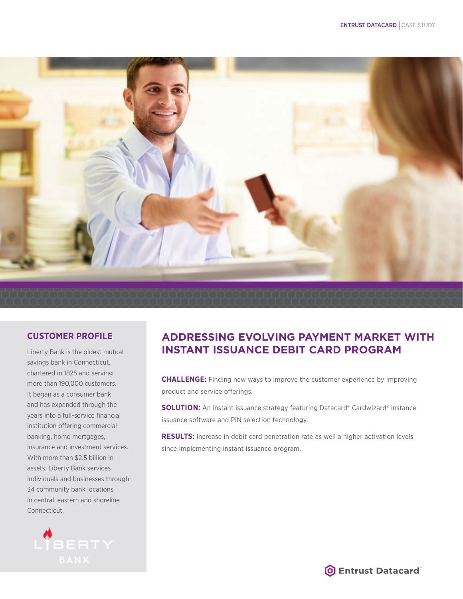

## **CUSTOMER PROFILE**

Liberty Bank is the oldest mutual savings bank in Connecticut, chartered in 1825 and serving more than 190,000 customers. It began as a consumer bank and has expanded through the years into a full-service financial institution offering commercial banking, home mortgages, insurance and investment services. With more than \$2.5 billion in assets, Liberty Bank services individuals and businesses through 34 community bank locations in central, eastern and shoreline Connecticut.



## **ADDRESSING EVOLVING PAYMENT MARKET WITH INSTANT ISSUANCE DEBIT CARD PROGRAM**

**CHALLENGE:** Finding new ways to improve the customer experience by improving product and service offerings.

**SOLUTION:** An instant issuance strategy featuring Datacard® Cardwizard® instance issuance software and PIN selection technology.

**RESULTS:** Increase in debit card penetration rate as well a higher activation levels since implementing instant issuance program.

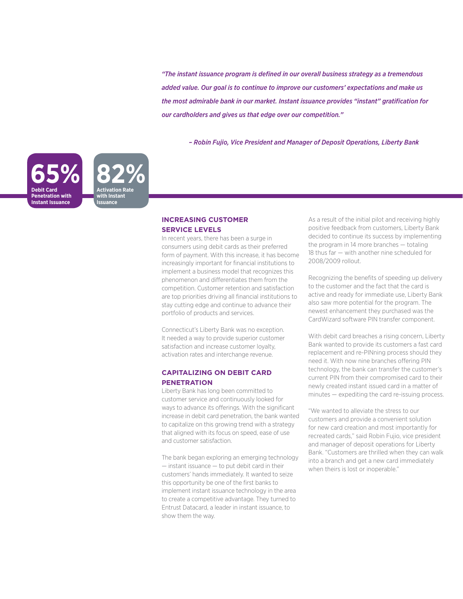*"The instant issuance program is defined in our overall business strategy as a tremendous added value. Our goal is to continue to improve our customers' expectations and make us the most admirable bank in our market. Instant issuance provides "instant" gratification for our cardholders and gives us that edge over our competition."* 

*– Robin Fujio, Vice President and Manager of Deposit Operations, Liberty Bank*



#### **INCREASING CUSTOMER SERVICE LEVELS**

In recent years, there has been a surge in consumers using debit cards as their preferred form of payment. With this increase, it has become increasingly important for financial institutions to implement a business model that recognizes this phenomenon and differentiates them from the competition. Customer retention and satisfaction are top priorities driving all financial institutions to stay cutting edge and continue to advance their portfolio of products and services.

Connecticut's Liberty Bank was no exception. It needed a way to provide superior customer satisfaction and increase customer loyalty, activation rates and interchange revenue.

#### **CAPITALIZING ON DEBIT CARD PENETRATION**

Liberty Bank has long been committed to customer service and continuously looked for ways to advance its offerings. With the significant increase in debit card penetration, the bank wanted to capitalize on this growing trend with a strategy that aligned with its focus on speed, ease of use and customer satisfaction.

The bank began exploring an emerging technology — instant issuance — to put debit card in their customers' hands immediately. It wanted to seize this opportunity be one of the first banks to implement instant issuance technology in the area to create a competitive advantage. They turned to Entrust Datacard, a leader in instant issuance, to show them the way.

As a result of the initial pilot and receiving highly positive feedback from customers, Liberty Bank decided to continue its success by implementing the program in 14 more branches — totaling 18 thus far — with another nine scheduled for 2008/2009 rollout.

Recognizing the benefits of speeding up delivery to the customer and the fact that the card is active and ready for immediate use, Liberty Bank also saw more potential for the program. The newest enhancement they purchased was the CardWizard software PIN transfer component.

With debit card breaches a rising concern, Liberty Bank wanted to provide its customers a fast card replacement and re-PINning process should they need it. With now nine branches offering PIN technology, the bank can transfer the customer's current PIN from their compromised card to their newly created instant issued card in a matter of minutes — expediting the card re-issuing process.

"We wanted to alleviate the stress to our customers and provide a convenient solution for new card creation and most importantly for recreated cards," said Robin Fujio, vice president and manager of deposit operations for Liberty Bank. "Customers are thrilled when they can walk into a branch and get a new card immediately when theirs is lost or inoperable."